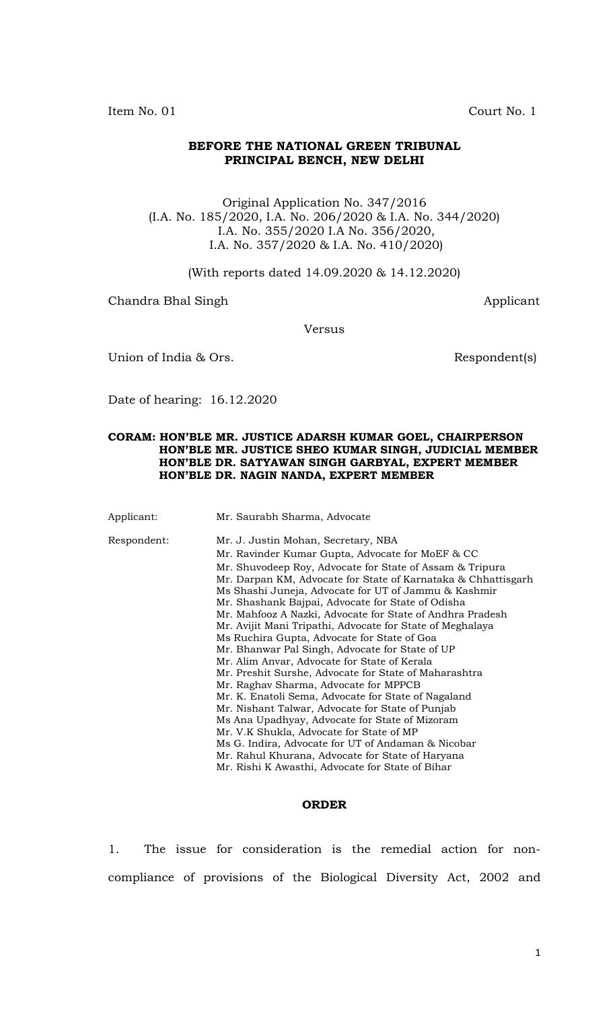Item No. 01 Court No. 1

## **BEFORE THE NATIONAL GREEN TRIBUNAL PRINCIPAL BENCH, NEW DELHI**

Original Application No. 347/2016 (I.A. No. 185/2020, I.A. No. 206/2020 & I.A. No. 344/2020) I.A. No. 355/2020 I.A No. 356/2020, I.A. No. 357/2020 & I.A. No. 410/2020)

(With reports dated 14.09.2020 & 14.12.2020)

Chandra Bhal Singh **Applicant** Applicant

Versus

Union of India & Ors. Solution of India & Ors.

Date of hearing: 16.12.2020

## **CORAM: HON'BLE MR. JUSTICE ADARSH KUMAR GOEL, CHAIRPERSON HON'BLE MR. JUSTICE SHEO KUMAR SINGH, JUDICIAL MEMBER HON'BLE DR. SATYAWAN SINGH GARBYAL, EXPERT MEMBER HON'BLE DR. NAGIN NANDA, EXPERT MEMBER**

Applicant: Mr. Saurabh Sharma, Advocate Respondent: Mr. J. Justin Mohan, Secretary, NBA Mr. Ravinder Kumar Gupta, Advocate for MoEF & CC Mr. Shuvodeep Roy, Advocate for State of Assam & Tripura Mr. Darpan KM, Advocate for State of Karnataka & Chhattisgarh Ms Shashi Juneja, Advocate for UT of Jammu & Kashmir Mr. Shashank Bajpai, Advocate for State of Odisha Mr. Mahfooz A Nazki, Advocate for State of Andhra Pradesh Mr. Avijit Mani Tripathi, Advocate for State of Meghalaya Ms Ruchira Gupta, Advocate for State of Goa Mr. Bhanwar Pal Singh, Advocate for State of UP Mr. Alim Anvar, Advocate for State of Kerala Mr. Preshit Surshe, Advocate for State of Maharashtra Mr. Raghav Sharma, Advocate for MPPCB Mr. K. Enatoli Sema, Advocate for State of Nagaland Mr. Nishant Talwar, Advocate for State of Punjab Ms Ana Upadhyay, Advocate for State of Mizoram Mr. V.K Shukla, Advocate for State of MP Ms G. Indira, Advocate for UT of Andaman & Nicobar Mr. Rahul Khurana, Advocate for State of Haryana Mr. Rishi K Awasthi, Advocate for State of Bihar

## **ORDER**

1. The issue for consideration is the remedial action for noncompliance of provisions of the Biological Diversity Act, 2002 and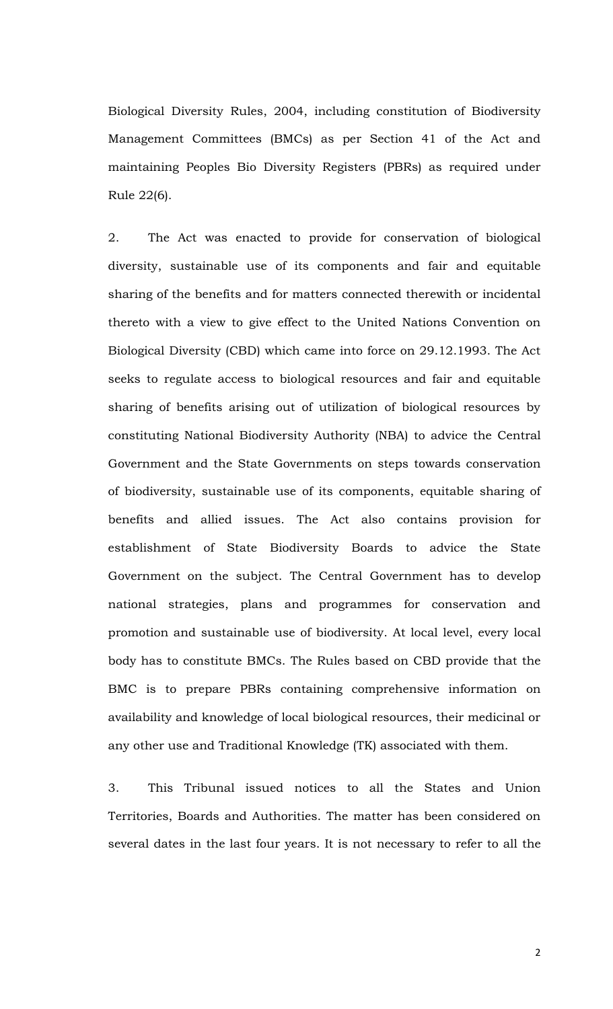Biological Diversity Rules, 2004, including constitution of Biodiversity Management Committees (BMCs) as per Section 41 of the Act and maintaining Peoples Bio Diversity Registers (PBRs) as required under Rule 22(6).

2. The Act was enacted to provide for conservation of biological diversity, sustainable use of its components and fair and equitable sharing of the benefits and for matters connected therewith or incidental thereto with a view to give effect to the United Nations Convention on Biological Diversity (CBD) which came into force on 29.12.1993. The Act seeks to regulate access to biological resources and fair and equitable sharing of benefits arising out of utilization of biological resources by constituting National Biodiversity Authority (NBA) to advice the Central Government and the State Governments on steps towards conservation of biodiversity, sustainable use of its components, equitable sharing of benefits and allied issues. The Act also contains provision for establishment of State Biodiversity Boards to advice the State Government on the subject. The Central Government has to develop national strategies, plans and programmes for conservation and promotion and sustainable use of biodiversity. At local level, every local body has to constitute BMCs. The Rules based on CBD provide that the BMC is to prepare PBRs containing comprehensive information on availability and knowledge of local biological resources, their medicinal or any other use and Traditional Knowledge (TK) associated with them.

3. This Tribunal issued notices to all the States and Union Territories, Boards and Authorities. The matter has been considered on several dates in the last four years. It is not necessary to refer to all the

2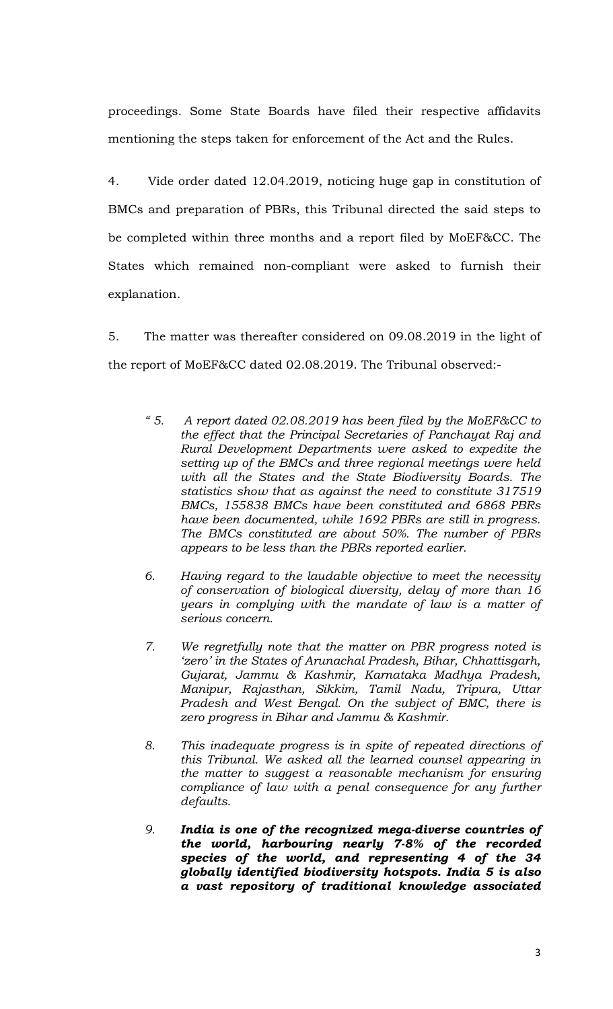proceedings. Some State Boards have filed their respective affidavits mentioning the steps taken for enforcement of the Act and the Rules.

4. Vide order dated 12.04.2019, noticing huge gap in constitution of BMCs and preparation of PBRs, this Tribunal directed the said steps to be completed within three months and a report filed by MoEF&CC. The States which remained non-compliant were asked to furnish their explanation.

5. The matter was thereafter considered on 09.08.2019 in the light of the report of MoEF&CC dated 02.08.2019. The Tribunal observed:-

- *" 5. A report dated 02.08.2019 has been filed by the MoEF&CC to the effect that the Principal Secretaries of Panchayat Raj and Rural Development Departments were asked to expedite the setting up of the BMCs and three regional meetings were held with all the States and the State Biodiversity Boards. The statistics show that as against the need to constitute 317519 BMCs, 155838 BMCs have been constituted and 6868 PBRs have been documented, while 1692 PBRs are still in progress. The BMCs constituted are about 50%. The number of PBRs appears to be less than the PBRs reported earlier.*
- *6. Having regard to the laudable objective to meet the necessity of conservation of biological diversity, delay of more than 16 years in complying with the mandate of law is a matter of serious concern.*
- *7. We regretfully note that the matter on PBR progress noted is 'zero' in the States of Arunachal Pradesh, Bihar, Chhattisgarh, Gujarat, Jammu & Kashmir, Karnataka Madhya Pradesh, Manipur, Rajasthan, Sikkim, Tamil Nadu, Tripura, Uttar Pradesh and West Bengal. On the subject of BMC, there is zero progress in Bihar and Jammu & Kashmir.*
- *8. This inadequate progress is in spite of repeated directions of this Tribunal. We asked all the learned counsel appearing in the matter to suggest a reasonable mechanism for ensuring compliance of law with a penal consequence for any further defaults.*
- *9. India is one of the recognized mega-diverse countries of the world, harbouring nearly 7-8% of the recorded species of the world, and representing 4 of the 34 globally identified biodiversity hotspots. India 5 is also a vast repository of traditional knowledge associated*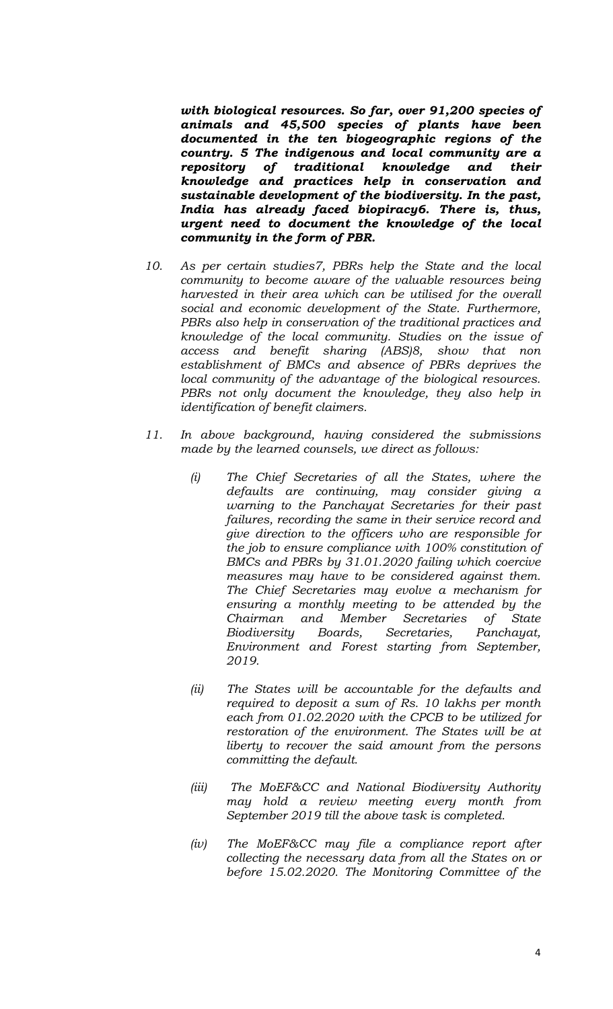*with biological resources. So far, over 91,200 species of animals and 45,500 species of plants have been documented in the ten biogeographic regions of the country. 5 The indigenous and local community are a repository of traditional knowledge and their knowledge and practices help in conservation and sustainable development of the biodiversity. In the past, India has already faced biopiracy6. There is, thus, urgent need to document the knowledge of the local community in the form of PBR.*

- *10. As per certain studies7, PBRs help the State and the local community to become aware of the valuable resources being harvested in their area which can be utilised for the overall social and economic development of the State. Furthermore, PBRs also help in conservation of the traditional practices and knowledge of the local community. Studies on the issue of access and benefit sharing (ABS)8, show that non establishment of BMCs and absence of PBRs deprives the local community of the advantage of the biological resources. PBRs not only document the knowledge, they also help in identification of benefit claimers.*
- *11. In above background, having considered the submissions made by the learned counsels, we direct as follows:* 
	- *(i) The Chief Secretaries of all the States, where the defaults are continuing, may consider giving a warning to the Panchayat Secretaries for their past failures, recording the same in their service record and give direction to the officers who are responsible for the job to ensure compliance with 100% constitution of BMCs and PBRs by 31.01.2020 failing which coercive measures may have to be considered against them. The Chief Secretaries may evolve a mechanism for ensuring a monthly meeting to be attended by the Chairman and Member Secretaries of State Biodiversity Boards, Secretaries, Panchayat, Environment and Forest starting from September, 2019.*
	- *(ii) The States will be accountable for the defaults and required to deposit a sum of Rs. 10 lakhs per month each from 01.02.2020 with the CPCB to be utilized for restoration of the environment. The States will be at liberty to recover the said amount from the persons committing the default.*
	- *(iii) The MoEF&CC and National Biodiversity Authority may hold a review meeting every month from September 2019 till the above task is completed.*
	- *(iv) The MoEF&CC may file a compliance report after collecting the necessary data from all the States on or before 15.02.2020. The Monitoring Committee of the*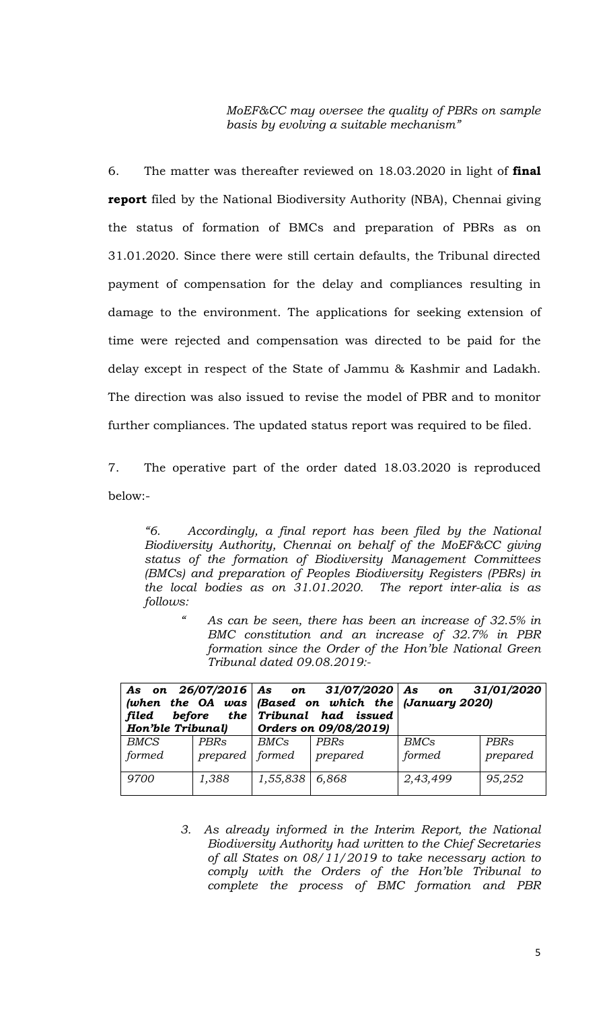*MoEF&CC may oversee the quality of PBRs on sample basis by evolving a suitable mechanism"* 

6. The matter was thereafter reviewed on 18.03.2020 in light of **final report** filed by the National Biodiversity Authority (NBA), Chennai giving the status of formation of BMCs and preparation of PBRs as on 31.01.2020. Since there were still certain defaults, the Tribunal directed payment of compensation for the delay and compliances resulting in damage to the environment. The applications for seeking extension of time were rejected and compensation was directed to be paid for the delay except in respect of the State of Jammu & Kashmir and Ladakh. The direction was also issued to revise the model of PBR and to monitor further compliances. The updated status report was required to be filed.

7. The operative part of the order dated 18.03.2020 is reproduced below:-

*"6. Accordingly, a final report has been filed by the National Biodiversity Authority, Chennai on behalf of the MoEF&CC giving status of the formation of Biodiversity Management Committees (BMCs) and preparation of Peoples Biodiversity Registers (PBRs) in the local bodies as on 31.01.2020. The report inter-alia is as follows:* 

*" As can be seen, there has been an increase of 32.5% in BMC constitution and an increase of 32.7% in PBR formation since the Order of the Hon'ble National Green Tribunal dated 09.08.2019:-* 

| (when the OA was Based on which the January 2020)<br>before the $Tribunal$ had issued<br>filed<br>Hon'ble Tribunal) |                   |                  | $\int$ Orders on 09/08/2019) | As on $26/07/2016$ As on $31/07/2020$ As on $31/01/2020$ |          |  |
|---------------------------------------------------------------------------------------------------------------------|-------------------|------------------|------------------------------|----------------------------------------------------------|----------|--|
| <b>BMCS</b>                                                                                                         | PBRs              | BMCs             | PBRs                         | BMCs                                                     | PBRs     |  |
| formed                                                                                                              | prepared   formed |                  | prepared                     | formed                                                   | prepared |  |
| 9700                                                                                                                | 1,388             | $1,55,838$ 6,868 |                              | 2,43,499                                                 | 95,252   |  |

*3. As already informed in the Interim Report, the National Biodiversity Authority had written to the Chief Secretaries of all States on 08/11/2019 to take necessary action to comply with the Orders of the Hon'ble Tribunal to complete the process of BMC formation and PBR*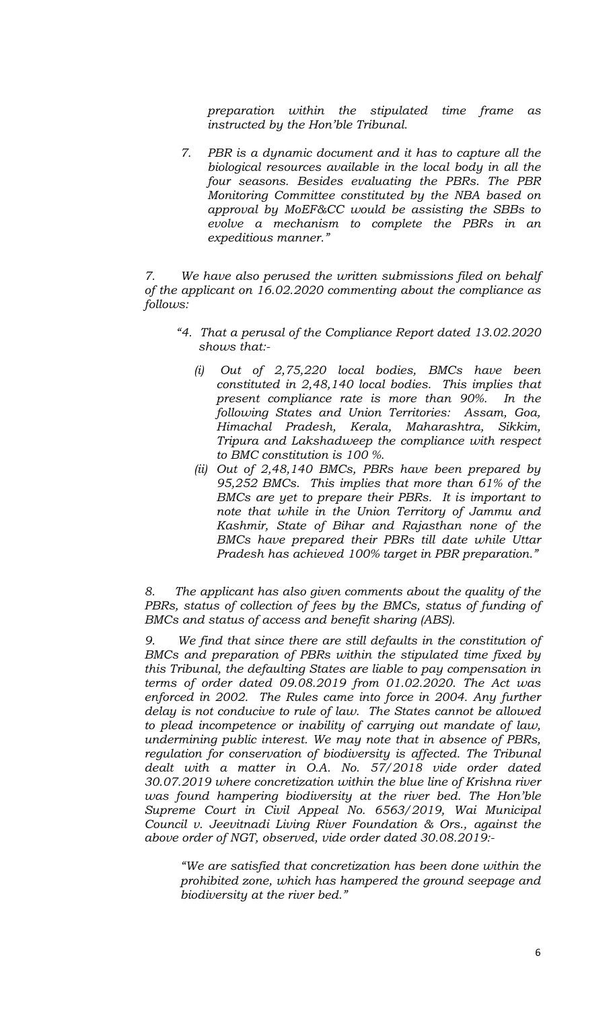*preparation within the stipulated time frame as instructed by the Hon'ble Tribunal.* 

*7. PBR is a dynamic document and it has to capture all the biological resources available in the local body in all the four seasons. Besides evaluating the PBRs. The PBR Monitoring Committee constituted by the NBA based on approval by MoEF&CC would be assisting the SBBs to evolve a mechanism to complete the PBRs in an expeditious manner."* 

*7. We have also perused the written submissions filed on behalf of the applicant on 16.02.2020 commenting about the compliance as follows:* 

- *"4. That a perusal of the Compliance Report dated 13.02.2020 shows that:-* 
	- *(i) Out of 2,75,220 local bodies, BMCs have been constituted in 2,48,140 local bodies. This implies that present compliance rate is more than 90%. In the following States and Union Territories: Assam, Goa, Himachal Pradesh, Kerala, Maharashtra, Sikkim, Tripura and Lakshadweep the compliance with respect to BMC constitution is 100 %.*
	- *(ii) Out of 2,48,140 BMCs, PBRs have been prepared by 95,252 BMCs. This implies that more than 61% of the BMCs are yet to prepare their PBRs. It is important to note that while in the Union Territory of Jammu and Kashmir, State of Bihar and Rajasthan none of the BMCs have prepared their PBRs till date while Uttar Pradesh has achieved 100% target in PBR preparation."*

*8. The applicant has also given comments about the quality of the*  PBRs, status of collection of fees by the BMCs, status of funding of *BMCs and status of access and benefit sharing (ABS).* 

*9. We find that since there are still defaults in the constitution of BMCs and preparation of PBRs within the stipulated time fixed by this Tribunal, the defaulting States are liable to pay compensation in terms of order dated 09.08.2019 from 01.02.2020. The Act was*  enforced in 2002. The Rules came into force in 2004. Any further *delay is not conducive to rule of law. The States cannot be allowed to plead incompetence or inability of carrying out mandate of law, undermining public interest. We may note that in absence of PBRs, regulation for conservation of biodiversity is affected. The Tribunal dealt with a matter in O.A. No. 57/2018 vide order dated 30.07.2019 where concretization within the blue line of Krishna river was found hampering biodiversity at the river bed. The Hon'ble Supreme Court in Civil Appeal No. 6563/2019, Wai Municipal Council v. Jeevitnadi Living River Foundation & Ors., against the above order of NGT, observed, vide order dated 30.08.2019:-* 

*"We are satisfied that concretization has been done within the prohibited zone, which has hampered the ground seepage and biodiversity at the river bed."*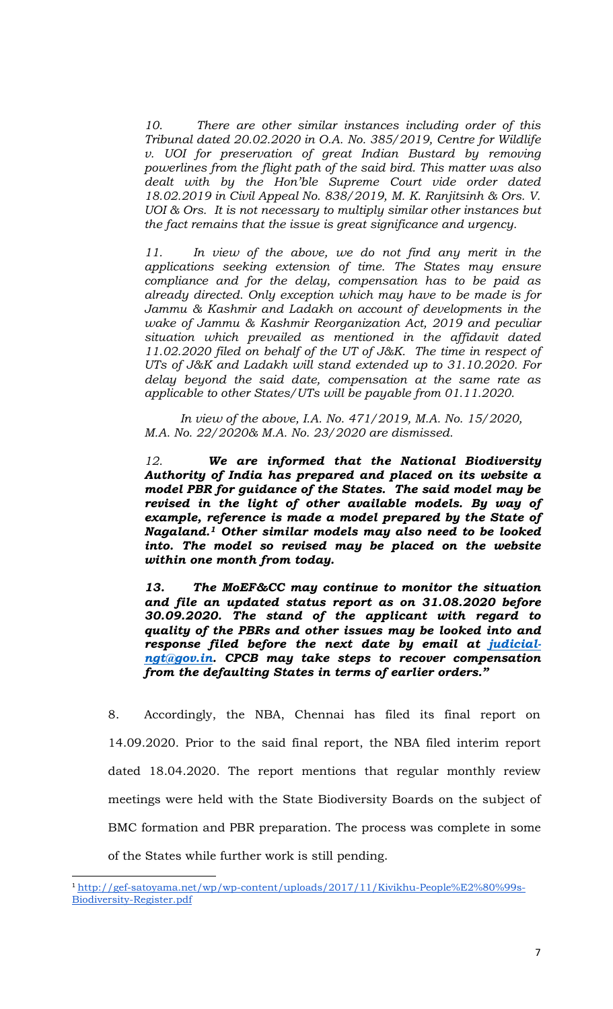*10. There are other similar instances including order of this Tribunal dated 20.02.2020 in O.A. No. 385/2019, Centre for Wildlife v. UOI for preservation of great Indian Bustard by removing powerlines from the flight path of the said bird. This matter was also dealt with by the Hon'ble Supreme Court vide order dated 18.02.2019 in Civil Appeal No. 838/2019, M. K. Ranjitsinh & Ors. V. UOI & Ors. It is not necessary to multiply similar other instances but the fact remains that the issue is great significance and urgency.* 

*11. In view of the above, we do not find any merit in the applications seeking extension of time. The States may ensure compliance and for the delay, compensation has to be paid as already directed. Only exception which may have to be made is for Jammu & Kashmir and Ladakh on account of developments in the wake of Jammu & Kashmir Reorganization Act, 2019 and peculiar situation which prevailed as mentioned in the affidavit dated 11.02.2020 filed on behalf of the UT of J&K. The time in respect of UTs of J&K and Ladakh will stand extended up to 31.10.2020. For delay beyond the said date, compensation at the same rate as applicable to other States/UTs will be payable from 01.11.2020.* 

*In view of the above, I.A. No. 471/2019, M.A. No. 15/2020, M.A. No. 22/2020& M.A. No. 23/2020 are dismissed.* 

*12. We are informed that the National Biodiversity Authority of India has prepared and placed on its website a model PBR for guidance of the States. The said model may be revised in the light of other available models. By way of example, reference is made a model prepared by the State of Nagaland.1 Other similar models may also need to be looked into. The model so revised may be placed on the website within one month from today.* 

*13. The MoEF&CC may continue to monitor the situation and file an updated status report as on 31.08.2020 before 30.09.2020. The stand of the applicant with regard to quality of the PBRs and other issues may be looked into and response filed before the next date by email at judicialngt@gov.in. CPCB may take steps to recover compensation from the defaulting States in terms of earlier orders."* 

8. Accordingly, the NBA, Chennai has filed its final report on 14.09.2020. Prior to the said final report, the NBA filed interim report dated 18.04.2020. The report mentions that regular monthly review meetings were held with the State Biodiversity Boards on the subject of BMC formation and PBR preparation. The process was complete in some of the States while further work is still pending.

<sup>&</sup>lt;sup>1</sup>http://gef-satoyama.net/wp/wp-content/uploads/2017/11/Kivikhu-People%E2%80%99s-Biodiversity-Register.pdf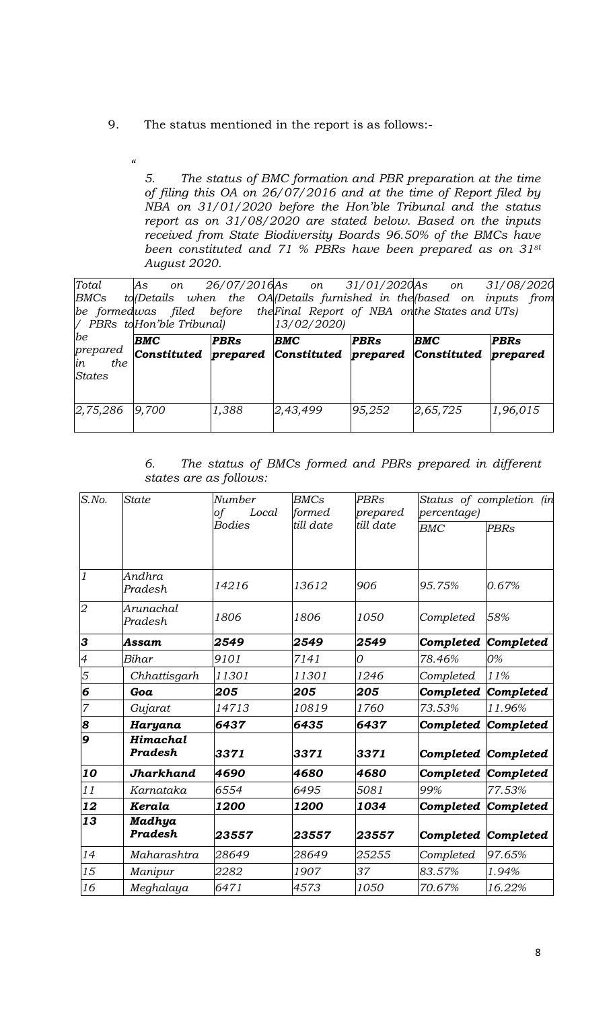9. The status mentioned in the report is as follows:-

 $\alpha$ 

*5. The status of BMC formation and PBR preparation at the time of filing this OA on 26/07/2016 and at the time of Report filed by NBA on 31/01/2020 before the Hon'ble Tribunal and the status report as on 31/08/2020 are stated below. Based on the inputs received from State Biodiversity Boards 96.50% of the BMCs have been constituted and 71 % PBRs have been prepared as on 31st August 2020.* 

| Total                                        | As on<br>BMCs to Details when the OA Details furnished in the based on inputs from<br>be formedwas filed before the Final Report of NBA on the States and UTs)<br>/ PBRs to Hon'ble Tribunal) |             | 26/07/2016As on 31/01/2020As on 31/08/2020<br>13/02/2020 |             |          |          |
|----------------------------------------------|-----------------------------------------------------------------------------------------------------------------------------------------------------------------------------------------------|-------------|----------------------------------------------------------|-------------|----------|----------|
| be<br>prepared<br>in<br>the<br><b>States</b> | BMC<br>Constituted prepared Constituted prepared Constituted prepared                                                                                                                         | <b>PBRs</b> | <b>BMC</b>                                               | <b>PBRs</b> | BMC      | PBRs     |
| 2,75,286                                     | 9,700                                                                                                                                                                                         | 1,388       | 2,43,499                                                 | 95,252      | 2,65,725 | 1,96,015 |

*6. The status of BMCs formed and PBRs prepared in different states are as follows:* 

| $\overline{S}$ .No.      | <b>State</b>         | Number<br>of<br>Local | <b>BMCs</b><br>formed | <b>PBRs</b><br>prepared | Status of completion (in<br>percentage) |                     |
|--------------------------|----------------------|-----------------------|-----------------------|-------------------------|-----------------------------------------|---------------------|
|                          |                      | <b>Bodies</b>         | till date             | till date               | BMC                                     | <b>PBRs</b>         |
| $\mathfrak{1}$           | Andhra<br>Pradesh    | 14216                 | 13612                 | 906                     | 95.75%                                  | 0.67%               |
| $\overline{2}$           | Arunachal<br>Pradesh | 1806                  | 1806                  | 1050                    | Completed                               | 58%                 |
| 3                        | Assam                | 2549                  | 2549                  | 2549                    | Completed                               | Completed           |
| $\overline{\mathcal{A}}$ | Bihar                | 9101                  | 7141                  | 0                       | 78.46%                                  | 0%                  |
| 5                        | Chhattisgarh         | 11301                 | 11301                 | 1246                    | Completed                               | 11%                 |
| 6                        | Goa                  | 205                   | 205                   | 205                     | Completed                               | Completed           |
| 7                        | Gujarat              | 14713                 | 10819                 | 1760                    | 73.53%                                  | 11.96%              |
| 8                        | Haryana              | 6437                  | 6435                  | 6437                    | Completed                               | Completed           |
| 9                        | Himachal<br>Pradesh  | 3371                  | 3371                  | 3371                    |                                         | Completed Completed |
| 10                       | Jharkhand            | 4690                  | 4680                  | 4680                    |                                         | Completed Completed |
| 11                       | Karnataka            | 6554                  | 6495                  | 5081                    | 99%                                     | 77.53%              |
| 12                       | Kerala               | 1200                  | 1200                  | 1034                    | Completed                               | Completed           |
| 13                       | Madhya<br>Pradesh    | 23557                 | 23557                 | 23557                   |                                         | Completed Completed |
| 14                       | Maharashtra          | 28649                 | 28649                 | 25255                   | Completed                               | 97.65%              |
| 15                       | Manipur              | 2282                  | 1907                  | 37                      | 83.57%                                  | 1.94%               |
| 16                       | Meghalaya            | 6471                  | 4573                  | 1050                    | 70.67%                                  | 16.22%              |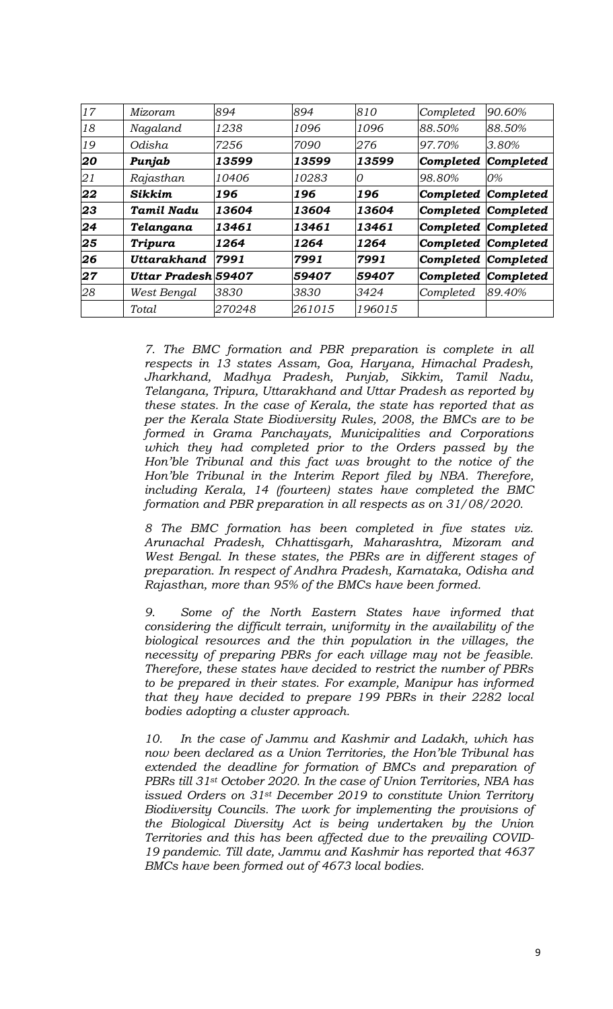| 17                       | Mizoram                    | 894    | 894    | 810    | Completed           | 90.60%    |
|--------------------------|----------------------------|--------|--------|--------|---------------------|-----------|
| 18                       | Nagaland                   | 1238   | 1096   | 1096   | 88.50%              | 88.50%    |
| 19                       | Odisha                     | 7256   | 7090   | 276    | 97.70%              | 3.80%     |
| 20                       | Punjab                     | 13599  | 13599  | 13599  | Completed           | Completed |
| 21                       | Rajasthan                  | 10406  | 10283  | 0      | 98.80%              | 0%        |
| 22                       | <b>Sikkim</b>              | 196    | 196    | 196    | Completed Completed |           |
| 23                       | <b>Tamil Nadu</b>          | 13604  | 13604  | 13604  | Completed Completed |           |
| 24                       | Telangana                  | 13461  | 13461  | 13461  | Completed Completed |           |
| 25                       | Tripura                    | 1264   | 1264   | 1264   | Completed Completed |           |
| 26                       | <b>Uttarakhand</b>         | 7991   | 7991   | 7991   | Completed Completed |           |
| $\overline{\mathbf{27}}$ | <b>Uttar Pradesh 59407</b> |        | 59407  | 59407  | Completed Completed |           |
| 28                       | West Bengal                | 3830   | 3830   | 3424   | Completed           | 89.40%    |
|                          | Total                      | 270248 | 261015 | 196015 |                     |           |

*7. The BMC formation and PBR preparation is complete in all respects in 13 states Assam, Goa, Haryana, Himachal Pradesh, Jharkhand, Madhya Pradesh, Punjab, Sikkim, Tamil Nadu, Telangana, Tripura, Uttarakhand and Uttar Pradesh as reported by these states. In the case of Kerala, the state has reported that as per the Kerala State Biodiversity Rules, 2008, the BMCs are to be formed in Grama Panchayats, Municipalities and Corporations which they had completed prior to the Orders passed by the Hon'ble Tribunal and this fact was brought to the notice of the Hon'ble Tribunal in the Interim Report filed by NBA. Therefore, including Kerala, 14 (fourteen) states have completed the BMC formation and PBR preparation in all respects as on 31/08/2020.* 

*8 The BMC formation has been completed in five states viz. Arunachal Pradesh, Chhattisgarh, Maharashtra, Mizoram and West Bengal. In these states, the PBRs are in different stages of preparation. In respect of Andhra Pradesh, Karnataka, Odisha and Rajasthan, more than 95% of the BMCs have been formed.* 

*9. Some of the North Eastern States have informed that considering the difficult terrain, uniformity in the availability of the biological resources and the thin population in the villages, the necessity of preparing PBRs for each village may not be feasible. Therefore, these states have decided to restrict the number of PBRs to be prepared in their states. For example, Manipur has informed that they have decided to prepare 199 PBRs in their 2282 local bodies adopting a cluster approach.* 

*10. In the case of Jammu and Kashmir and Ladakh, which has now been declared as a Union Territories, the Hon'ble Tribunal has extended the deadline for formation of BMCs and preparation of PBRs till 31st October 2020. In the case of Union Territories, NBA has issued Orders on 31st December 2019 to constitute Union Territory Biodiversity Councils. The work for implementing the provisions of the Biological Diversity Act is being undertaken by the Union Territories and this has been affected due to the prevailing COVID-19 pandemic. Till date, Jammu and Kashmir has reported that 4637 BMCs have been formed out of 4673 local bodies.*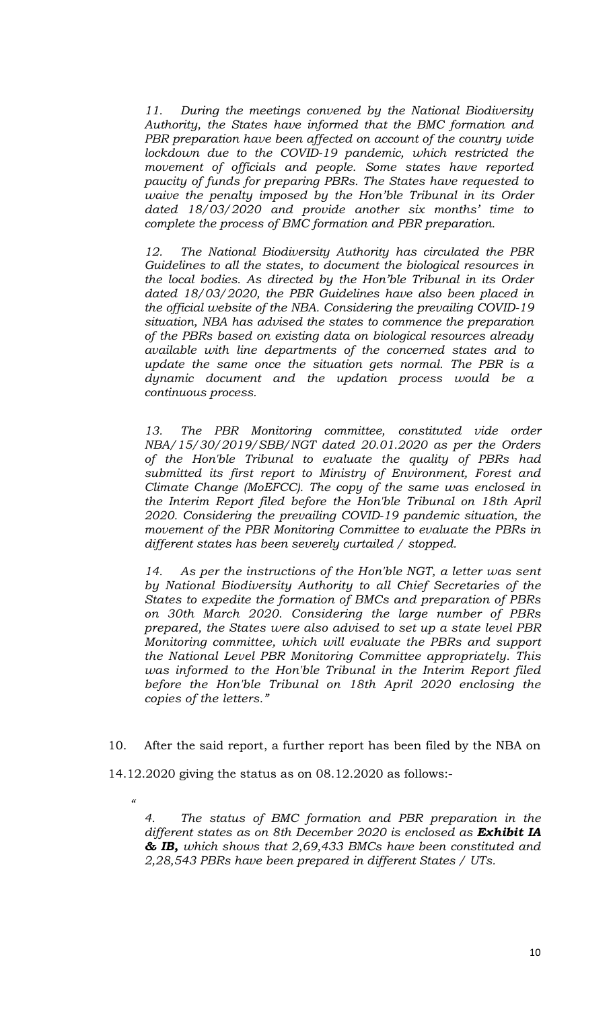*11. During the meetings convened by the National Biodiversity Authority, the States have informed that the BMC formation and*  PBR preparation have been affected on account of the country wide *lockdown due to the COVID-19 pandemic, which restricted the movement of officials and people. Some states have reported paucity of funds for preparing PBRs. The States have requested to waive the penalty imposed by the Hon'ble Tribunal in its Order dated 18/03/2020 and provide another six months' time to complete the process of BMC formation and PBR preparation.* 

*12. The National Biodiversity Authority has circulated the PBR Guidelines to all the states, to document the biological resources in the local bodies. As directed by the Hon'ble Tribunal in its Order dated 18/03/2020, the PBR Guidelines have also been placed in the official website of the NBA. Considering the prevailing COVID-19 situation, NBA has advised the states to commence the preparation of the PBRs based on existing data on biological resources already available with line departments of the concerned states and to update the same once the situation gets normal. The PBR is a dynamic document and the updation process would be a continuous process.* 

*13. The PBR Monitoring committee, constituted vide order NBA/15/30/2019/SBB/NGT dated 20.01.2020 as per the Orders of the Hon'ble Tribunal to evaluate the quality of PBRs had submitted its first report to Ministry of Environment, Forest and Climate Change (MoEFCC). The copy of the same was enclosed in the Interim Report filed before the Hon'ble Tribunal on 18th April 2020. Considering the prevailing COVID-19 pandemic situation, the movement of the PBR Monitoring Committee to evaluate the PBRs in different states has been severely curtailed / stopped.* 

*14. As per the instructions of the Hon'ble NGT, a letter was sent by National Biodiversity Authority to all Chief Secretaries of the States to expedite the formation of BMCs and preparation of PBRs on 30th March 2020. Considering the large number of PBRs prepared, the States were also advised to set up a state level PBR Monitoring committee, which will evaluate the PBRs and support the National Level PBR Monitoring Committee appropriately. This was informed to the Hon'ble Tribunal in the Interim Report filed before the Hon'ble Tribunal on 18th April 2020 enclosing the copies of the letters."* 

10. After the said report, a further report has been filed by the NBA on

14.12.2020 giving the status as on 08.12.2020 as follows:-

 *"* 

*4. The status of BMC formation and PBR preparation in the different states as on 8th December 2020 is enclosed as Exhibit IA & IB, which shows that 2,69,433 BMCs have been constituted and 2,28,543 PBRs have been prepared in different States / UTs.*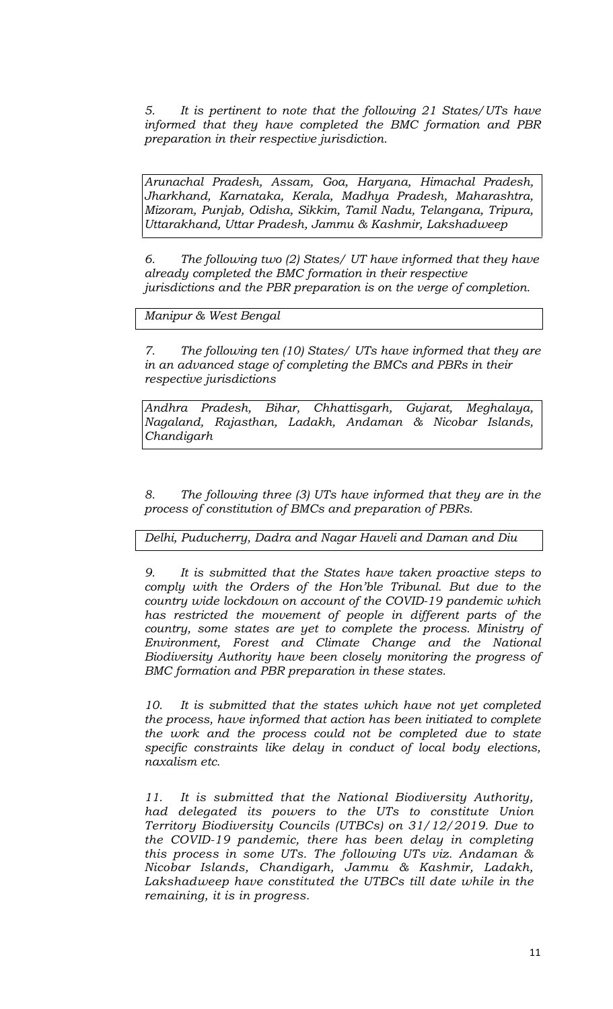*5. It is pertinent to note that the following 21 States/UTs have informed that they have completed the BMC formation and PBR preparation in their respective jurisdiction.* 

*Arunachal Pradesh, Assam, Goa, Haryana, Himachal Pradesh, Jharkhand, Karnataka, Kerala, Madhya Pradesh, Maharashtra, Mizoram, Punjab, Odisha, Sikkim, Tamil Nadu, Telangana, Tripura, Uttarakhand, Uttar Pradesh, Jammu & Kashmir, Lakshadweep* 

*6. The following two (2) States/ UT have informed that they have already completed the BMC formation in their respective jurisdictions and the PBR preparation is on the verge of completion.* 

*Manipur & West Bengal* 

*7. The following ten (10) States/ UTs have informed that they are in an advanced stage of completing the BMCs and PBRs in their respective jurisdictions* 

*Andhra Pradesh, Bihar, Chhattisgarh, Gujarat, Meghalaya, Nagaland, Rajasthan, Ladakh, Andaman & Nicobar Islands, Chandigarh* 

*8. The following three (3) UTs have informed that they are in the process of constitution of BMCs and preparation of PBRs.* 

*Delhi, Puducherry, Dadra and Nagar Haveli and Daman and Diu* 

*9. It is submitted that the States have taken proactive steps to comply with the Orders of the Hon'ble Tribunal. But due to the country wide lockdown on account of the COVID-19 pandemic which has restricted the movement of people in different parts of the country, some states are yet to complete the process. Ministry of Environment, Forest and Climate Change and the National Biodiversity Authority have been closely monitoring the progress of BMC formation and PBR preparation in these states.* 

*10. It is submitted that the states which have not yet completed the process, have informed that action has been initiated to complete the work and the process could not be completed due to state specific constraints like delay in conduct of local body elections, naxalism etc.* 

*11. It is submitted that the National Biodiversity Authority, had delegated its powers to the UTs to constitute Union Territory Biodiversity Councils (UTBCs) on 31/12/2019. Due to the COVID-19 pandemic, there has been delay in completing this process in some UTs. The following UTs viz. Andaman & Nicobar Islands, Chandigarh, Jammu & Kashmir, Ladakh,*  Lakshadweep have constituted the UTBCs till date while in the *remaining, it is in progress.*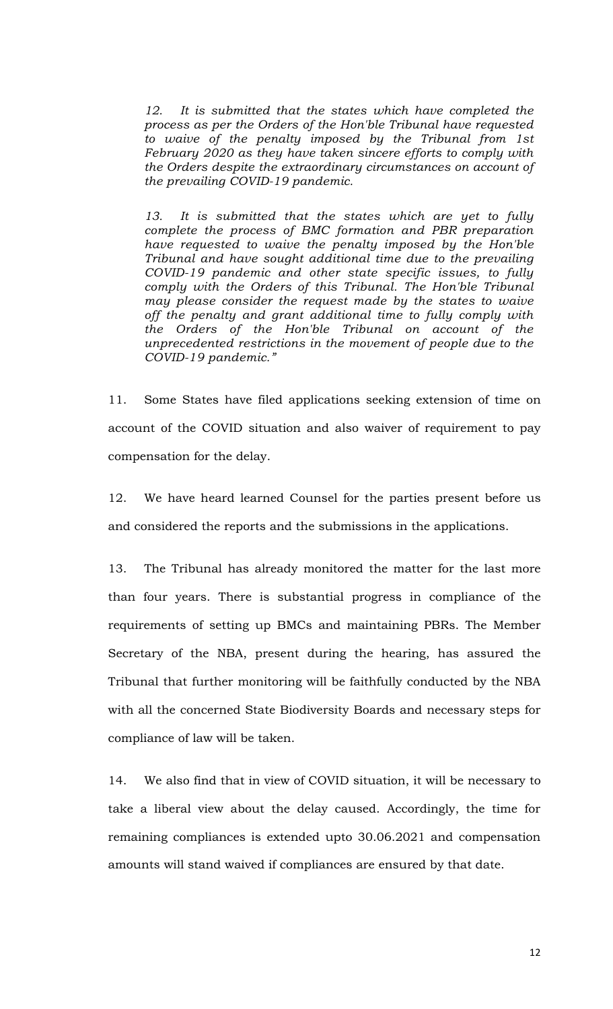*12. It is submitted that the states which have completed the process as per the Orders of the Hon'ble Tribunal have requested to waive of the penalty imposed by the Tribunal from 1st February 2020 as they have taken sincere efforts to comply with the Orders despite the extraordinary circumstances on account of the prevailing COVID-19 pandemic.* 

*13. It is submitted that the states which are yet to fully complete the process of BMC formation and PBR preparation have requested to waive the penalty imposed by the Hon'ble Tribunal and have sought additional time due to the prevailing COVID-19 pandemic and other state specific issues, to fully comply with the Orders of this Tribunal. The Hon'ble Tribunal may please consider the request made by the states to waive off the penalty and grant additional time to fully comply with the Orders of the Hon'ble Tribunal on account of the unprecedented restrictions in the movement of people due to the COVID-19 pandemic."* 

11. Some States have filed applications seeking extension of time on account of the COVID situation and also waiver of requirement to pay compensation for the delay.

12. We have heard learned Counsel for the parties present before us and considered the reports and the submissions in the applications.

13. The Tribunal has already monitored the matter for the last more than four years. There is substantial progress in compliance of the requirements of setting up BMCs and maintaining PBRs. The Member Secretary of the NBA, present during the hearing, has assured the Tribunal that further monitoring will be faithfully conducted by the NBA with all the concerned State Biodiversity Boards and necessary steps for compliance of law will be taken.

14. We also find that in view of COVID situation, it will be necessary to take a liberal view about the delay caused. Accordingly, the time for remaining compliances is extended upto 30.06.2021 and compensation amounts will stand waived if compliances are ensured by that date.